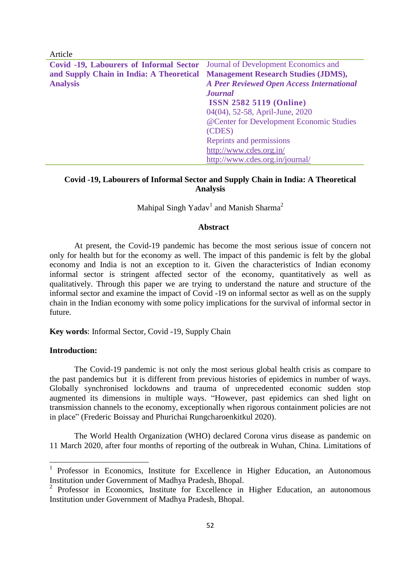| Article                                                                      |                                                  |
|------------------------------------------------------------------------------|--------------------------------------------------|
| Covid -19, Labourers of Informal Sector Journal of Development Economics and |                                                  |
| and Supply Chain in India: A Theoretical Management Research Studies (JDMS), |                                                  |
| <b>Analysis</b>                                                              | <b>A Peer Reviewed Open Access International</b> |
|                                                                              | <b>Journal</b>                                   |
|                                                                              | <b>ISSN 2582 5119 (Online)</b>                   |
|                                                                              | 04(04), 52-58, April-June, 2020                  |
|                                                                              | @Center for Development Economic Studies         |
|                                                                              | (CDES)                                           |
|                                                                              | Reprints and permissions                         |
|                                                                              | http://www.cdes.org.in/                          |
|                                                                              | http://www.cdes.org.in/journal/                  |

# **Covid -19, Labourers of Informal Sector and Supply Chain in India: A Theoretical Analysis**

Mahipal Singh Yadav<sup>1</sup> and Manish Sharma<sup>2</sup>

### **Abstract**

At present, the Covid-19 pandemic has become the most serious issue of concern not only for health but for the economy as well. The impact of this pandemic is felt by the global economy and India is not an exception to it. Given the characteristics of Indian economy informal sector is stringent affected sector of the economy, quantitatively as well as qualitatively. Through this paper we are trying to understand the nature and structure of the informal sector and examine the impact of Covid -19 on informal sector as well as on the supply chain in the Indian economy with some policy implications for the survival of informal sector in future.

**Key words**: Informal Sector, Covid -19, Supply Chain

# **Introduction:**

**.** 

The Covid-19 pandemic is not only the most serious global health crisis as compare to the past pandemics but it is different from previous histories of epidemics in number of ways. Globally synchronised lockdowns and trauma of unprecedented economic sudden stop augmented its dimensions in multiple ways. "However, past epidemics can shed light on transmission channels to the economy, exceptionally when rigorous containment policies are not in place" (Frederic Boissay and Phurichai Rungcharoenkitkul 2020).

The World Health Organization (WHO) declared Corona virus disease as pandemic on 11 March 2020, after four months of reporting of the outbreak in Wuhan, China. Limitations of

<sup>1</sup> Professor in Economics, Institute for Excellence in Higher Education, an Autonomous Institution under Government of Madhya Pradesh, Bhopal.

<sup>&</sup>lt;sup>2</sup> Professor in Economics, Institute for Excellence in Higher Education, an autonomous Institution under Government of Madhya Pradesh, Bhopal.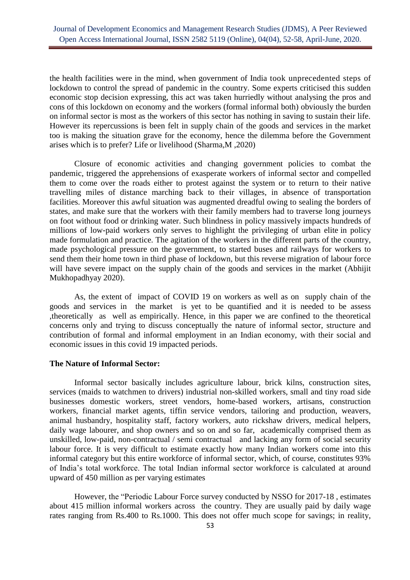the health facilities were in the mind, when government of India took unprecedented steps of lockdown to control the spread of pandemic in the country. Some experts criticised this sudden economic stop decision expressing, this act was taken hurriedly without analysing the pros and cons of this lockdown on economy and the workers (formal informal both) obviously the burden on informal sector is most as the workers of this sector has nothing in saving to sustain their life. However its repercussions is been felt in supply chain of the goods and services in the market too is making the situation grave for the economy, hence the dilemma before the Government arises which is to prefer? Life or livelihood (Sharma,M ,2020)

Closure of economic activities and changing government policies to combat the pandemic, triggered the apprehensions of exasperate workers of informal sector and compelled them to come over the roads either to protest against the system or to return to their native travelling miles of distance marching back to their villages, in absence of transportation facilities. Moreover this awful situation was augmented dreadful owing to sealing the borders of states, and make sure that the workers with their family members had to traverse long journeys on foot without food or drinking water. Such blindness in policy massively impacts hundreds of millions of low-paid workers only serves to highlight the privileging of urban elite in policy made formulation and practice. The agitation of the workers in the different parts of the country, made psychological pressure on the government, to started buses and railways for workers to send them their home town in third phase of lockdown, but this reverse migration of labour force will have severe impact on the supply chain of the goods and services in the market (Abhijit Mukhopadhyay 2020).

As, the extent of impact of COVID 19 on workers as well as on supply chain of the goods and services in the market is yet to be quantified and it is needed to be assess ,theoretically as well as empirically. Hence, in this paper we are confined to the theoretical concerns only and trying to discuss conceptually the nature of informal sector, structure and contribution of formal and informal employment in an Indian economy, with their social and economic issues in this covid 19 impacted periods.

### **The Nature of Informal Sector:**

Informal sector basically includes agriculture labour, brick kilns, construction sites, services (maids to watchmen to drivers) industrial non-skilled workers, small and tiny road side businesses domestic workers, street vendors, home-based workers, artisans, construction workers, financial market agents, tiffin service vendors, tailoring and production, weavers, animal husbandry, hospitality staff, factory workers, auto rickshaw drivers, medical helpers, daily wage labourer, and shop owners and so on and so far, academically comprised them as unskilled, low-paid, non-contractual / semi contractual and lacking any form of social security labour force. It is very difficult to estimate exactly how many Indian workers come into this informal category but this entire workforce of informal sector, which, of course, constitutes 93% of India's total workforce. The total Indian informal sector workforce is calculated at around upward of 450 million as per varying estimates

However, the "Periodic Labour Force survey conducted by NSSO for 2017-18 , estimates about 415 million informal workers across the country. They are usually paid by daily wage rates ranging from Rs.400 to Rs.1000. This does not offer much scope for savings; in reality,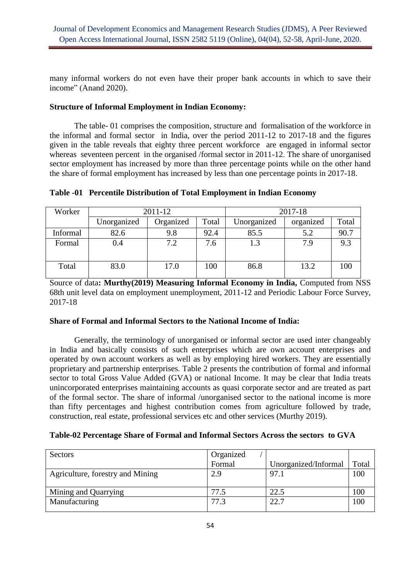many informal workers do not even have their proper bank accounts in which to save their income" (Anand 2020).

# **Structure of Informal Employment in Indian Economy:**

The table- 01 comprises the composition, structure and formalisation of the workforce in the informal and formal sector in India, over the period 2011-12 to 2017-18 and the figures given in the table reveals that eighty three percent workforce are engaged in informal sector whereas seventeen percent in the organised /formal sector in 2011-12. The share of unorganised sector employment has increased by more than three percentage points while on the other hand the share of formal employment has increased by less than one percentage points in 2017-18.

| Worker   | 2011-12     |           | 2017-18 |             |           |       |
|----------|-------------|-----------|---------|-------------|-----------|-------|
|          | Unorganized | Organized | Total   | Unorganized | organized | Total |
| Informal | 82.6        | 9.8       | 92.4    | 85.5        | 5.2       | 90.7  |
| Formal   | 0.4         | 7.2       | 7.6     | 1.3         | 7.9       | 9.3   |
|          |             |           |         |             |           |       |
| Total    | 83.0        | 17.0      | 100     | 86.8        | 13.2      | 100   |

# **Table -01 Percentile Distribution of Total Employment in Indian Economy**

Source of data**: Murthy(2019) Measuring Informal Economy in India,** Computed from NSS 68th unit level data on employment unemployment, 2011-12 and Periodic Labour Force Survey, 2017-18

# **Share of Formal and Informal Sectors to the National Income of India:**

Generally, the terminology of unorganised or informal sector are used inter changeably in India and basically consists of such enterprises which are own account enterprises and operated by own account workers as well as by employing hired workers. They are essentially proprietary and partnership enterprises. Table 2 presents the contribution of formal and informal sector to total Gross Value Added (GVA) or national Income. It may be clear that India treats unincorporated enterprises maintaining accounts as quasi corporate sector and are treated as part of the formal sector. The share of informal /unorganised sector to the national income is more than fifty percentages and highest contribution comes from agriculture followed by trade, construction, real estate, professional services etc and other services (Murthy 2019).

# **Table-02 Percentage Share of Formal and Informal Sectors Across the sectors to GVA**

| Sectors                          | Organized |                      |       |
|----------------------------------|-----------|----------------------|-------|
|                                  | Formal    | Unorganized/Informal | Total |
| Agriculture, forestry and Mining | 2.9       | 97.1                 | 100   |
|                                  |           |                      |       |
| Mining and Quarrying             | 77.5      | 22.5                 |       |
| Manufacturing                    | 77.3      | 22.7                 |       |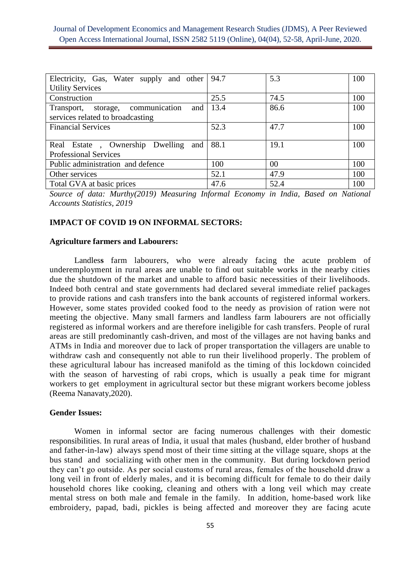| Electricity, Gas, Water supply and other   94.7 |      | 5.3    | 100 |
|-------------------------------------------------|------|--------|-----|
| <b>Utility Services</b>                         |      |        |     |
| Construction                                    | 25.5 | 74.5   | 100 |
| Transport, storage, communication<br>and        | 13.4 | 86.6   | 100 |
| services related to broadcasting                |      |        |     |
| <b>Financial Services</b>                       | 52.3 | 47.7   | 100 |
|                                                 |      |        |     |
| Real Estate, Ownership Dwelling<br>and          | 88.1 | 19.1   | 100 |
| <b>Professional Services</b>                    |      |        |     |
| Public administration and defence               | 100  | $00\,$ | 100 |
| Other services                                  | 52.1 | 47.9   | 100 |
| Total GVA at basic prices                       | 47.6 | 52.4   | 100 |

*Source of data: Murthy(2019) Measuring Informal Economy in India, Based on National Accounts Statistics, 2019*

### **IMPACT OF COVID 19 ON INFORMAL SECTORS:**

### **Agriculture farmers and Labourers:**

Landles**s** farm labourers, who were already facing the acute problem of underemployment in rural areas are unable to find out suitable works in the nearby cities due the shutdown of the market and unable to afford basic necessities of their livelihoods. Indeed both central and state governments had declared several immediate relief packages to provide rations and cash transfers into the bank accounts of registered informal workers. However, some states provided cooked food to the needy as provision of ration were not meeting the objective. Many small farmers and landless farm labourers are not officially registered as informal workers and are therefore ineligible for cash transfers. People of rural areas are still predominantly cash-driven, and most of the villages are not having banks and ATMs in India and moreover due to lack of proper transportation the villagers are unable to withdraw cash and consequently not able to run their livelihood properly. The problem of these agricultural labour has increased manifold as the timing of this lockdown coincided with the season of harvesting of rabi crops, which is usually a peak time for migrant workers to get employment in agricultural sector but these migrant workers become jobless (Reema Nanavaty,2020).

### **Gender Issues:**

Women in informal sector are facing numerous challenges with their domestic responsibilities. In rural areas of India, it usual that males (husband, elder brother of husband and father-in-law) always spend most of their time sitting at the village square, shops at the bus stand and socializing with other men in the community. But during lockdown period they can't go outside. As per social customs of rural areas, females of the household draw a long veil in front of elderly males, and it is becoming difficult for female to do their daily household chores like cooking, cleaning and others with a long veil which may create mental stress on both male and female in the family. In addition, home-based work like embroidery, papad, badi, pickles is being affected and moreover they are facing acute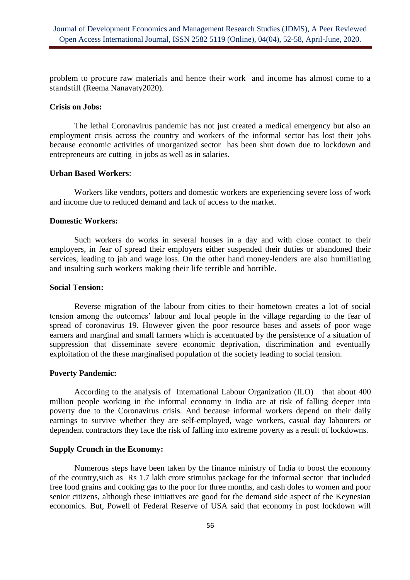problem to procure raw materials and hence their work and income has almost come to a standstill (Reema Nanavaty2020).

#### **Crisis on Jobs:**

The lethal Coronavirus pandemic has not just created a medical emergency but also an employment crisis across the country and workers of the informal sector has lost their jobs because economic activities of unorganized sector has been shut down due to lockdown and entrepreneurs are cutting in jobs as well as in salaries.

### **Urban Based Workers**:

Workers like vendors, potters and domestic workers are experiencing severe loss of work and income due to reduced demand and lack of access to the market.

#### **Domestic Workers:**

Such workers do works in several houses in a day and with close contact to their employers, in fear of spread their employers either suspended their duties or abandoned their services, leading to jab and wage loss. On the other hand money-lenders are also humiliating and insulting such workers making their life terrible and horrible.

### **Social Tension:**

Reverse migration of the labour from cities to their hometown creates a lot of social tension among the outcomes' labour and local people in the village regarding to the fear of spread of coronavirus 19. However given the poor resource bases and assets of poor wage earners and marginal and small farmers which is accentuated by the persistence of a situation of suppression that disseminate severe economic deprivation, discrimination and eventually exploitation of the these marginalised population of the society leading to social tension.

# **Poverty Pandemic:**

According to the analysis of International Labour Organization (ILO) that about 400 million people working in the informal economy in India are at risk of falling deeper into poverty due to the Coronavirus crisis. And because informal workers depend on their daily earnings to survive whether they are self-employed, wage workers, casual day labourers or dependent contractors they face the risk of falling into extreme poverty as a result of lockdowns.

# **Supply Crunch in the Economy:**

Numerous steps have been taken by the finance ministry of India to boost the economy of the country,such as Rs 1.7 lakh crore stimulus package for the informal sector that included free food grains and cooking gas to the poor for three months, and cash doles to women and poor senior citizens, although these initiatives are good for the demand side aspect of the Keynesian economics. But, Powell of Federal Reserve of USA said that economy in post lockdown will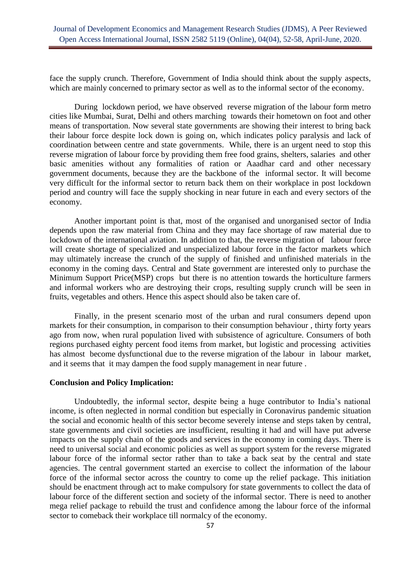face the supply crunch. Therefore, Government of India should think about the supply aspects, which are mainly concerned to primary sector as well as to the informal sector of the economy.

During lockdown period, we have observed reverse migration of the labour form metro cities like Mumbai, Surat, Delhi and others marching towards their hometown on foot and other means of transportation. Now several state governments are showing their interest to bring back their labour force despite lock down is going on, which indicates policy paralysis and lack of coordination between centre and state governments. While, there is an urgent need to stop this reverse migration of labour force by providing them free food grains, shelters, salaries and other basic amenities without any formalities of ration or Aaadhar card and other necessary government documents, because they are the backbone of the informal sector. It will become very difficult for the informal sector to return back them on their workplace in post lockdown period and country will face the supply shocking in near future in each and every sectors of the economy.

Another important point is that, most of the organised and unorganised sector of India depends upon the raw material from China and they may face shortage of raw material due to lockdown of the international aviation. In addition to that, the reverse migration of labour force will create shortage of specialized and unspecialized labour force in the factor markets which may ultimately increase the crunch of the supply of finished and unfinished materials in the economy in the coming days. Central and State government are interested only to purchase the Minimum Support Price(MSP) crops but there is no attention towards the horticulture farmers and informal workers who are destroying their crops, resulting supply crunch will be seen in fruits, vegetables and others. Hence this aspect should also be taken care of.

Finally, in the present scenario most of the urban and rural consumers depend upon markets for their consumption, in comparison to their consumption behaviour , thirty forty years ago from now, when rural population lived with subsistence of agriculture. Consumers of both regions purchased eighty percent food items from market, but logistic and processing activities has almost become dysfunctional due to the reverse migration of the labour in labour market, and it seems that it may dampen the food supply management in near future .

#### **Conclusion and Policy Implication:**

Undoubtedly, the informal sector, despite being a huge contributor to India's national income, is often neglected in normal condition but especially in Coronavirus pandemic situation the social and economic health of this sector become severely intense and steps taken by central, state governments and civil societies are insufficient, resulting it had and will have put adverse impacts on the supply chain of the goods and services in the economy in coming days. There is need to universal social and economic policies as well as support system for the reverse migrated labour force of the informal sector rather than to take a back seat by the central and state agencies. The central government started an exercise to collect the information of the labour force of the informal sector across the country to come up the relief package. This initiation should be enactment through act to make compulsory for state governments to collect the data of labour force of the different section and society of the informal sector. There is need to another mega relief package to rebuild the trust and confidence among the labour force of the informal sector to comeback their workplace till normalcy of the economy.